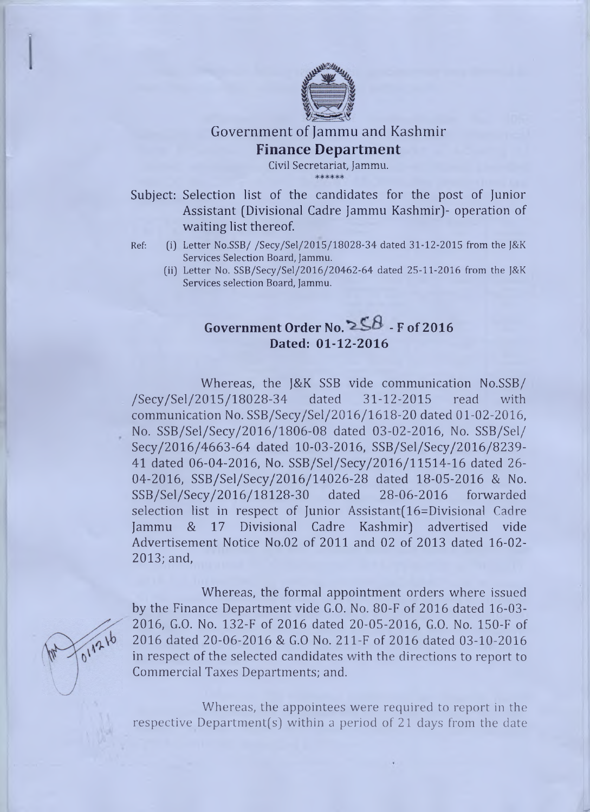

Government of Jammu and Kashmir Finance Department

Civil Secretariat, Jammu.

Subject: Selection list of the candidates for the post of Junior Assistant (Divisional Cadre Jammu Kashmir]- operation of waiting list thereof.

- Ref: (ij Letter No.SSB/ /Secy/Sel/2015/18028-34 dated 31-12-2015 from the J&K Services Selection Board, Jammu.
	- (iij Letter No. SSB/Secy/Sel/2016/20462-64 dated 25-11-2016 from the J&K Services selection Board, Jammu.

## Government Order No.  $258$  - F of 2016 **Dated: 01-12-2016**

Whereas, the J&K SSB vide communication No.SSB/ /Secy/Sel/2015/18028-34 dated 31-12-2015 read with communication No. SSB/Secy/Sel/2016/1618-20 dated 01-02-2016, No. SSB/Sel/Secy/2016/1806-08 dated 03-02-2016, No. SSB/Sel/ Secy/2016/4663-64 dated 10-03-2016, SSB/Sel/Secy/2016/8239- 41 dated 06-04-2016, No. SSB/Sel/Secy/2016/11514-16 dated 26 04-2016, SSB/Sel/Secy/2016/14026-28 dated 18-05-2016 & No. SSB/Sel/Secy/2016/18128-30 dated 28-06-2016 forwarded selection list in respect of Junior Assistant(16=Divisional Cadre Jammu & 17 Divisional Cadre Kashmir) advertised vide Advertisement Notice No.02 of 2011 and 02 of 2013 dated 16-02 2013; and,



Whereas, the formal appointment orders where issued by the Finance Department vide G.O. No. 80-F of 2016 dated 16-03 2016, G.O. No. 132-F of 2016 dated 20-05-2016, G.O. No. 150-F of 2016 dated 20-06-2016 & G.O No. 211-F of 2016 dated 03-10-2016 in respect of the selected candidates with the directions to report to Commercial Taxes Departments; and.

Whereas, the appointees were required to report in the respective Department(s) within a period of 21 days from the date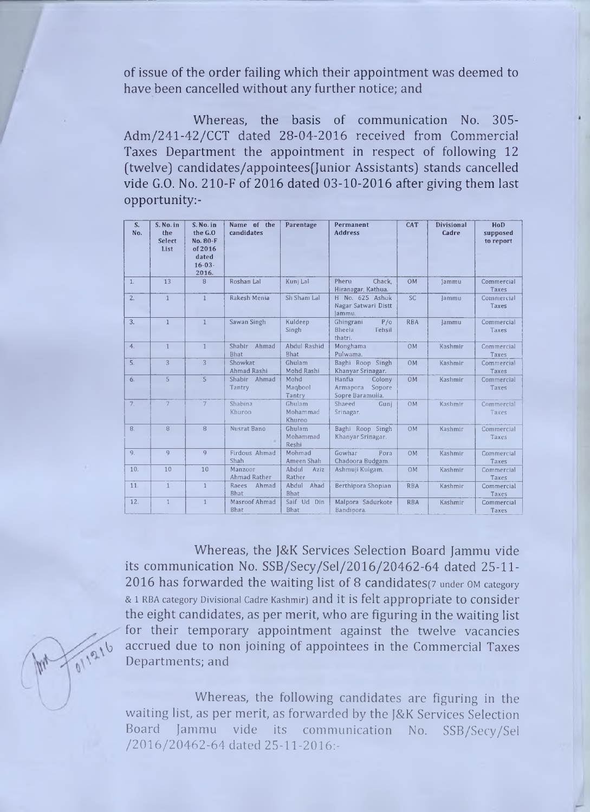of issue of the order failing which their appointment was deemed to have been cancelled without any further notice; and

Whereas, the basis of communication No. 305- Adm/241-42/CCT dated 28-04-2016 received from Commercial Taxes Department the appointment in respect of following 12 (twelve) candidates/appointees(Junior Assistants) stands cancelled vide G.O. No. 210-F of 2016 dated 03-10-2016 after giving them last opportunity:-

| S.<br>No.      | S. No. in<br>the<br>Select<br>List | S. No. in<br>the G.O.<br>No. 80-F<br>of 2016<br>dated<br>$16 - 03 -$<br>2016. | Name of the<br>candidates     | Parentage                    | Permanent<br><b>Address</b>                                | CAT            | Divisional<br>Cadre | HoD<br>supposed<br>to report |
|----------------|------------------------------------|-------------------------------------------------------------------------------|-------------------------------|------------------------------|------------------------------------------------------------|----------------|---------------------|------------------------------|
| $\mathbf{1}$ . | 13                                 | $\overline{8}$                                                                | Roshan Lal                    | Kunj Lal                     | Chack,<br>Pheru<br>Hiranagar, Kathua.                      | <b>OM</b>      | Jammu               | Commercial<br>Taxes          |
| 2.             | $\mathbf{1}$                       | $\mathbf{1}$                                                                  | Rakesh Menia                  | Sh Sham Lal                  | H No. 625 Ashok<br>Nagar Satwari Distt<br>lammu.           | <b>SC</b>      | Jammu               | Commercial<br>Taxes          |
| 3.             | $\mathbf{1}$                       | $\mathbf{1}$                                                                  | Sawan Singh                   | Kuldeep<br>Singh             | P/0<br>Ghingrani<br>Bheela<br>Tehsil<br>thatri.            | <b>RBA</b>     | <b>Jammu</b>        | Commercial<br>Taxes          |
| 4.             | $\mathbf{1}$                       | $\mathbf{1}$                                                                  | Shabir Ahmad<br>Bhat          | Abdul Rashid<br>Bhat         | Monghama<br>Pulwama.                                       | <b>OM</b>      | Kashmir             | Commercial<br>Taxes          |
| 5.             | $\overline{3}$                     | 3                                                                             | Showkat<br>Ahmad Rashi        | Ghulam<br>Mohd Rashi         | Baghi Roop Singh<br>Khanyar Srinagar.                      | <b>OM</b>      | Kashmir             | Commercial<br>Taxes          |
| 6.             | $\overline{5}$                     | $\overline{5}$                                                                | Ahmad<br>Shabir<br>Tantry     | Mohd<br>Magbool<br>Tantry    | Colony<br>Hanfia<br>Armapora<br>Sopore<br>Sopre Baramulla. | <b>OM</b>      | Kashmir             | Commercial<br>Taxes          |
| 7.             | $\overline{7}$                     | 7                                                                             | Shabina<br>Khuroo             | Ghulam<br>Mohammad<br>Khuroo | Shaeed<br>Gunj<br>Srinagar.                                | 0 <sub>M</sub> | Kashmir             | Commercial<br>Taxes          |
| 8.             | $\mathbf{B}$                       | 8                                                                             | Nusrat Bano                   | Ghulam<br>Mohammad<br>Reshi  | Baghi Roop Singh<br>Khanyar Srinagar.                      | <b>OM</b>      | Kashmir             | Commercial<br>Taxes          |
| 9.             | 9                                  | 9                                                                             | Firdous Ahmad<br>Shah         | Mohmad<br>Ameen Shah         | Gowhar<br>Pora<br>Chadoora Budgam.                         | <b>OM</b>      | Kashmir             | Commercial<br>Taxes          |
| 10.            | 10                                 | 10                                                                            | Manzoor<br>Ahmad Rather       | Abdul<br>Aziz<br>Rather      | Ashmuji Kulgam.                                            | OM             | Kashmir             | Commercial<br>Taxes          |
| 11.            | $\mathbf{1}$                       | $\mathbf{1}$                                                                  | Ahmad<br>Raees<br><b>Bhat</b> | Abdul<br>Ahad<br><b>Bhat</b> | Berthipora Shopian                                         | <b>RBA</b>     | Kashmir             | Commercial<br>Taxes          |
| 12.            | $\mathbf{1}$                       | $\mathbf{1}$                                                                  | Masroof Ahmad<br>Bhat         | Saif Ud Din<br>Bhat          | Malpora Sadurkote<br>Bandipora.                            | <b>RBA</b>     | Kashmir             | Commercial<br>Taxes          |

Whereas, the J&K Services Selection Board Jammu vide its communication No. SSB/Secy/Sel/2016/20462-64 dated 25-11 2016 has forwarded the waiting list of 8 candidates^ **under OM category & 1 RBA category Divisional Cadre Kashmir]** and it is felt appropriate tO Consider the eight candidates, as per merit, who are figuring in the waiting list for their temporary appointment against the twelve vacancies accrued due to non joining of appointees in the Commercial Taxes<br> **a**<sup>112</sup> Departments; and Departments; and

> Whereas, the following candidates are figuring in the waiting list, as per merit, as forwarded by the J&K Services Selection Board Jammu vide its communication No. SSB/Secy/Sel /2016/20462-64 dated 25-11-2016:-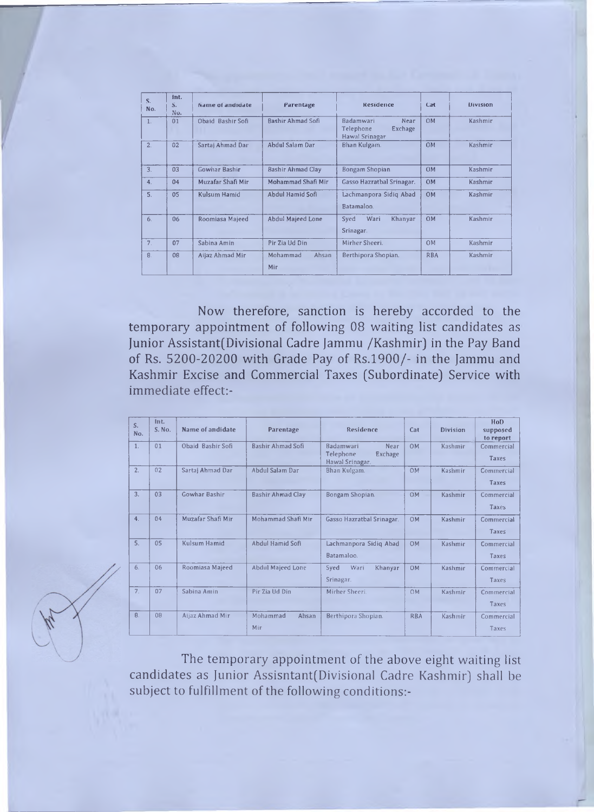| $S_{1}$<br>No. | int.<br>S <sub>n</sub><br>No. | Name of andidate  | Parentage                | Residence                                                          | Cat        | <b>Division</b> |
|----------------|-------------------------------|-------------------|--------------------------|--------------------------------------------------------------------|------------|-----------------|
| 1.             | 01                            | Obaid Bashir Sofi | Bashir Ahmad Sofi        | <b>Badamwari</b><br>Near<br>Telephone<br>Exchage<br>Hawal Srinagar | <b>OM</b>  | Kashmir         |
| 2.             | 02                            | Sartaj Ahmad Dar  | Ahdul Salam Dar          | Bhan Kulgam.                                                       | <b>OM</b>  | Kashmir         |
| 3.             | 03                            | Gowhar Bashir     | <b>Bashir Ahmad Clay</b> | Bongam Shopian                                                     | <b>OM</b>  | Kashmir         |
| 4.             | 04                            | Muzafar Shafi Mir | Mohammad Shafi Mir       | Gasso Hazratbal Srinagar.                                          | <b>OM</b>  | Kashmir         |
| 5.             | 05                            | Kulsum Hamid      | Abdul Hamid Sofi         | Lachmanpora Sidiq Abad<br>Batamaloo.                               | <b>OM</b>  | Kashmir         |
| 6.             | 06                            | Roomiasa Majeed   | <b>Abdul Majeed Lone</b> | Wari<br>Syed<br>Khanyar<br>Srinagar.                               | <b>OM</b>  | Kashmir         |
| 7 <sub>1</sub> | 07                            | Sabina Amin       | Pir Zia Ud Din           | Mirher Sheeri.                                                     | <b>OM</b>  | Kashmir         |
| 8.             | <b>OB</b>                     | Aijaz Ahmad Mir   | Mohammad<br>Ahsan<br>Mir | Berthipora Shopian.                                                | <b>RBA</b> | Kashmir         |

Now therefore, sanction is hereby accorded to the temporary appointment of following 08 waiting list candidates as Junior Assistant(Divisional Cadre Jammu /Kashmir) in the Pay Band of Rs. 5200-20200 with Grade Pay of Rs.1900/- in the Jammu and Kashmir Excise and Commercial Taxes (Subordinate) Service with immediate effect:-

| S.<br>No.      | Int.<br>S. No. | Name of andidate  | Parentage                | Residence                                                           | Cat        | <b>Division</b> | HoD<br>supposed<br>to report |
|----------------|----------------|-------------------|--------------------------|---------------------------------------------------------------------|------------|-----------------|------------------------------|
| $\mathbf{1}$ . | 01             | Obaid Bashir Sofi | Bashir Ahmad Sofi        | <b>Badamwari</b><br>Near<br>Telephone<br>Exchage<br>Hawal Srinagar. | <b>OM</b>  | Kashmir         | Commercial<br>Taxes          |
| 2.             | 02             | Sartaj Ahmad Dar  | Abdul Salam Dar          | Bhan Kulgam.                                                        | OM         | Kashmir         | Commercial<br><b>Taxes</b>   |
| 3.             | 0 <sub>3</sub> | Gowhar Bashir     | <b>Bashir Ahmad Clay</b> | Bongam Shopian.                                                     | <b>OM</b>  | Kashmir         | Commercial<br>Taxes          |
| 4.             | 04             | Muzafar Shafi Mir | Mohammad Shafi Mir       | Gasso Hazratbal Srinagar.                                           | <b>OM</b>  | Kashmir         | Commercial<br>Taxes          |
| 5.             | 05             | Kulsum Hamid      | Abdul Hamid Sofi         | Lachmanpora Sidig Abad<br>Batamaloo.                                | <b>OM</b>  | Kashmir         | Commercial<br>Taxes          |
| 6.             | 06             | Roomiasa Majeed   | <b>Abdul Majeed Lone</b> | Wari<br>Syed<br>Khanyar<br>Srinagar.                                | <b>OM</b>  | Kashmir         | Commercial<br>Taxes          |
| 7 <sub>1</sub> | 07             | Sabina Amin       | Pir Zia Ud Din           | Mirher Sheeri.                                                      | OM         | Kashmir         | Commercial<br>Taxes          |
| 8.             | 08             | Aijaz Ahmad Mir   | Mohammad<br>Ahsan<br>Mir | Berthipora Shopian.                                                 | <b>RBA</b> | Kashmir         | Commercial<br>Taxes          |

The temporary appointment of the above eight waiting list candidates as Junior Assisntant(Divisional Cadre Kashmir) shall be subject to fulfillment of the following conditions:-

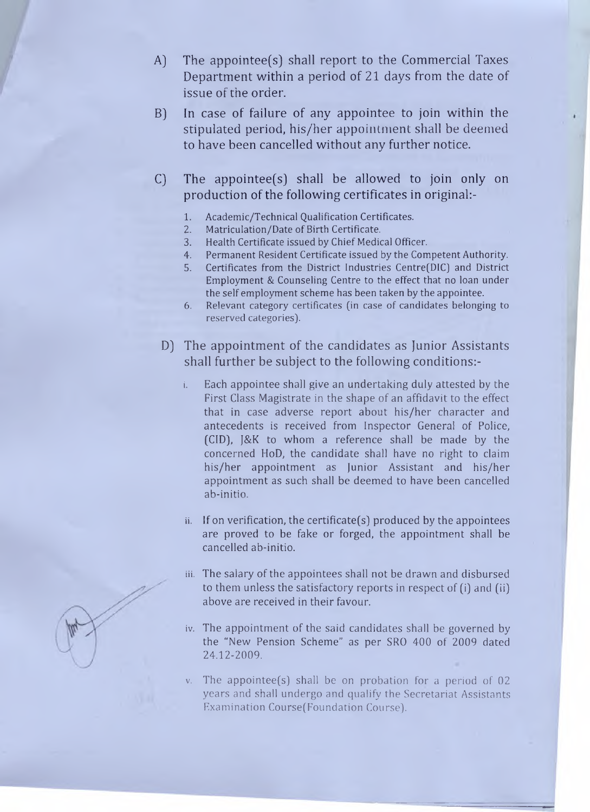- A) The appointee(s) shall report to the Commercial Taxes Department within a period of 21 days from the date of issue of the order.
- B) In case of failure of any appointee to join within the stipulated period, his/her appointment shall be deemed to have been cancelled without any further notice.
- C) The appointee(s) shall be allowed to join only on production of the following certificates in original:-
	- 1. Academic/Technical Qualification Certificates.
	- 2. Matriculation/Date of Birth Certificate.
	- 3. Health Certificate issued by Chief Medical Officer.
	- 4. Permanent Resident Certificate issued by the Competent Authority.
	- 5. Certificates from the District Industries Centre(DIC) and District Employment & Counseling Centre to the effect that no loan under the self employment scheme has been taken by the appointee.
	- 6. Relevant category certificates (in case of candidates belonging to reserved categories).
	- D] The appointment of the candidates as Junior Assistants shall further be subject to the following conditions:-
		- Each appointee shall give an undertaking duly attested by the First Class Magistrate in the shape of an affidavit to the effect that in case adverse report about his/her character and antecedents is received from Inspector General of Police, (C1D), J&K to whom a reference shall be made by the concerned HoD, the candidate shall have no right to claim his/her appointment as Junior Assistant and his/her appointment as such shall be deemed to have been cancelled ab-initio.
		- $ii.$  If on verification, the certificate(s) produced by the appointees are proved to be fake or forged, the appointment shall be cancelled ab-initio.
		- **iii.** The salary of the appointees shall not be drawn and disbursed to them unless the satisfactory reports in respect of (i) and (ii) above are received in their favour.
		- iv. The appointment of the said candidates shall be governed by the "New Pension Scheme" as per SRO 400 of 2009 dated 24.12-2009.
		- The appointee(s) shall be on probation for a period of  $02$ years and shall undergo and qualify the Secretariat Assistants Examination Course(Foundation Course).